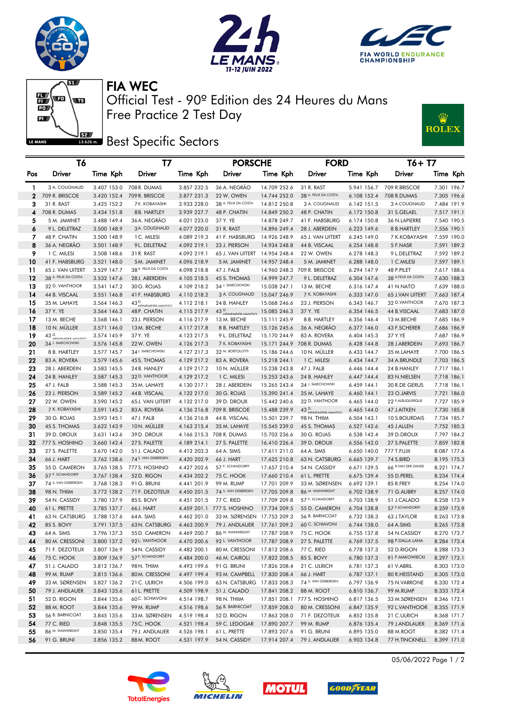





W

**ROLEX** 

FIA WEC

 $\mathbb{E}\left( \mathbf{E} \right)$  $\overline{\mathbf{w}}$  $\overline{P}$  $\mathbf{L}$ ßZ, LE MANS

Free Practice 2 Test Day Official Test - 90º Edition des 24 Heures du Mans

**Best** Specific Sectors

|              | T6                           |                            | Τ7                               |             | <b>PORSCHE</b>                              |                              | <b>FORD</b>                    |                            | T6+ T7                          |                            |
|--------------|------------------------------|----------------------------|----------------------------------|-------------|---------------------------------------------|------------------------------|--------------------------------|----------------------------|---------------------------------|----------------------------|
| Pos          | Driver                       | Time Kph                   | Driver                           | Time Kph    | Driver                                      | Time Kph                     | Driver                         | Time Kph                   | Driver                          | Time Kph                   |
| $\mathbf{1}$ | 3 A. COUGNAUD                |                            | 3.407 153.0 708 R. DUMAS         | 3.857 232.5 | 36 A. NEGRÃO                                | 14.709 252.6                 | 31 R. RAST                     |                            | 5.941 156.7 709 R.BRISCOE       | 7.301 196.7                |
| $\mathbf{2}$ | 709 R. BRISCOE               |                            | 3.420 152.4 709 R. BRISCOE       | 3.877 231.3 | 22 W. OWEN                                  | 14.744 252.0                 | 38 A. FELIX DA COSTA           | 6.108 152.4                | 708 R.DUMAS                     | 7.305 196.6                |
| 3            | 31 R. RAST                   | 3.425 152.2                | 7 K. KOBAYASHI                   | 3.933 228.0 | 38 A. FELIX DA COSTA                        | 14.812 250.8                 | 3 A. COUGNAUD                  | 6.142 151.5                | 3 A.COUGNAUD                    | 7.484 191.9                |
| 4            | 708 R. DUMAS                 | 3.434 151.8                | 8B. HARTLEY                      | 3.939 227.7 | 48 P. CHATIN                                | 14.849 250.2                 | 48 P. CHATIN                   | 6.172 150.8                | 31 S.GELAEL                     | 7.517 191.1                |
| 5            | 5 M. JAMINET                 | 3.488 149.4                | 36 A. NEGRÃO                     | 4.021 223.0 | 37 Y. YE                                    | 14.878 249.7                 | 41 F. HABSBURG                 | 6.174 150.8                | 36 N.LAPIERRE                   | 7.540 190.5                |
| 6            | 9 L. DELETRAZ                | 3.500 148.9                | 3 A. COUGNAUD                    | 4.077 220.0 | 31 R. RAST                                  | 14.896 249.4                 | 28 J. ABERDEIN                 | 6.223 149.6                | 8 B.HARTLEY                     | 7.556 190.1                |
| 7            | 48 P. CHATIN                 | 3.500 148.9                | 1 C. MILESI                      | 4.089 219.3 | 41 F. HABSBURG                              | 14.926 248.9                 | 65 J. VAN UITERT               | 6.245 149.0                | 7 K.KOBAYASHI                   | 7.559 190.0                |
| 8            | 36 A. NEGRÃO                 | 3.501 148.9                | 9L. DELETRAZ                     | 4.092 219.1 | 23 J. PIERSON                               | 14.934 248.8                 | 44 B. VISCAAL                  | 6.254 148.8                | 5 F.NASR                        | 7.591 189.2                |
| 9            | 1 C. MILESI                  | 3.508 148.6                | 31 R. RAST                       | 4.092 219.1 | 65 J. VAN UITERT 14.954 248.4               |                              | 22 W. OWEN                     | 6.278 148.3                | 9 L.DELETRAZ                    | 7.592 189.2                |
| 10           | 41 F. HABSBURG               | 3.521 148.0                | 5M. JAMINET                      | 4.096 218.9 | 5 M. JAMINET                                | 14.957 248.4                 | 5 M. JAMINET                   | 6.288 148.0                | 1 C.MILESI                      | 7.597 189.1                |
| 11.          | 65 J. VAN UITERT             | 3.529 147.7                | 38 A. FELIX DA COSTA             | 4.098 218.8 | 47 J. FALB                                  |                              | 14.960 248.3 709 R. BRISCOE    | 6.294 147.9                | 48 P.PILET                      | 7.617 188.6                |
| 12           | 38 A. FELIX DA COSTA         | 3.532 147.6                | 28 J. ABERDEIN                   | 4.105 218.5 | 45 S. THOMAS                                | 14.999 247.7                 | 9 L. DELETRAZ                  | 6.304 147.6                | 38 A.FELIX DA COSTA             | 7.630 188.3                |
| 13           | 32 D. VANTHOOR               | 3.541 147.2                | 30 G. ROJAS                      | 4.109 218.2 | 34 J. SMIECHOWSKI                           | 15.038 247.1                 | 13 M. BECHE                    | 6.316 147.4                | 41 N.NATO                       | 7.639 188.0                |
| 14           | 44 B. VISCAAL                | 3.551 146.8                | 41 F. HABSBURG                   | 4.110 218.2 | 3 A. COUGNAUD                               | 15.047 246.9                 | 7 K. KOBAYASHI                 | 6.333 147.0                | 65 J.VAN UITERT                 | 7.663 187.4                |
| 15           | 35 M. LAHAYE                 | 3.564 146.3                | 43 D. HEINIEAAEIED HANISSO       | 4.112 218.1 | 24 B. HANLEY                                | 15.068 246.6                 | 23 J. PIERSON                  | 6.343 146.7                | 32 D.VANTHOOR                   | 7.670 187.3                |
| 16           | 37 Y. YE                     | 3.564 146.3                | 48 P. CHATIN                     | 4.115 217.9 | 43 D.                                       | 15.085 246.3                 | 37 Y. YE                       | 6.354 146.5                | 44 B.VISCAAL                    | 7.683 187.0                |
| 17           | 13 M. BECHE                  | 3.568 146.1                | 23 J. PIERSON                    | 4.116 217.9 | 13 M. BECHE                                 | 15.111 245.9                 | 8 B. HARTLEY                   | 6.356 146.4                | 13 M.BECHE                      | 7.685 186.9                |
| 18           | 10 N. MÜLLER                 | 3.571 146.0                | 13M. BECHE                       | 4.117 217.8 | 8 B. HARTLEY                                | 15.126 245.6                 | 36 A. NEGRÃO                   | 6.377 146.0                | 43 F.SCHERER                    | 7.686 186.9                |
| 19           | $43$ D.<br>HEINEMEIFR-HANSSO | 3.574 145.9                | 37 Y. YE                         | 4.123 217.5 | 9 L. DELETRAZ                               | 15.170 244.9                 | 83 A. ROVERA                   | 6.404 145.3                | 37 Y.YE                         | 7.687 186.9                |
| 20           | 34 J. SMIECHOWSKI            | 3.576 145.8                | 22W. OWEN                        | 4.126 217.3 | 7 K. KOBAYASHI                              |                              | 15.171 244.9 708 R. DUMAS      | 6.428 144.8                | 28 J.ABERDEIN                   | 7.693 186.7                |
| 21           | 8 B. HARTLEY                 | 3.577 145.7                | 34 J. SMIECHOWSKI                | 4.127 217.3 | 32 M. BORTOLOTTI                            | 15.186 244.6                 | 10 N. MULLER                   | 6.433 144.7                | 35 M.LAHAYE                     | 7.700 186.5                |
| 22           | 83 A. ROVERA                 | 3.579 145.6                | 45 S. THOMAS                     | 4.129 217.2 | 83 A. ROVERA                                | 15.218 244.1                 | 1 C. MILESI                    | 6.434 144.7                | 34 A.BRUNDLE                    | 7.703 186.5                |
| 23           | 28 J. ABERDEIN               | 3.583 145.5                | 24 B. HANLEY                     | 4.129 217.2 | 10 N. MULLER                                | 15.238 243.8                 | 47 J. FALB                     | 6.446 144.4                | 24 B.HANLEY                     | 7.717 186.1                |
| 24           | 24 B. HANLEY                 | 3.587 145.3                | 32 D. VANTHOOR                   | 4.129 217.2 | 1 C. MILESI                                 | 15.253 243.6                 | 24 B. HANLEY                   | 6.447 144.4                | 83 N.NIELSEN                    | 7.718 186.1                |
| 25           | 47 J. FALB                   | 3.588 145.3                | 35 M. LAHAYE                     | 4.130 217.1 | 28 J. ABERDEIN                              | 15.265 243.4                 | 34 J. SMIECHOWSKI              | 6.459 144.1                | 30 R.DE GERUS                   | 7.718 186.1                |
| 26           | 23 J. PIERSON                | 3.589 145.2                | 44 B. VISCAAL                    | 4.132 217.0 | 30 G. ROJAS                                 | 15.390 241.4                 | 35 M. LAHAYE<br>32 D. VANTHOOR | 6.460 144.1                | 23 O.JARVIS<br>22 F.ALBUQUERQUE | 7.721 186.0                |
| 27           | 22 W. OWEN<br>7 K. KOBAYASHI | 3.590 145.2<br>3.591 145.2 | 65 J. VAN UITERT<br>83 A. ROVERA | 4.132 217.0 | 39 D. DROUX                                 | 15.442 240.6<br>15.488 239.9 |                                | 6.465 144.0                |                                 | 7.727 185.9                |
| 28<br>29     | 30 G. ROJAS                  |                            | 47 J. FALB                       | 4.136 216.8 | 4.136 216.8 709 R. BRISCOE<br>44 B. VISCAAL | 15.501 239.7                 | 43 D.                          | 6.465 144.0<br>6.504 143.1 | 47 J.AITKEN<br>10 S.BOURDAIS    | 7.730 185.8<br>7.734 185.7 |
| 30           | 45 S. THOMAS                 | 3.593 145.1<br>3.622 143.9 | 10N. MÜLLER                      | 4.163 215.4 | 35 M. LAHAYE                                | 15.545 239.0                 | 98 N. THIIM<br>45 S. THOMAS    | 6.527 142.6                | 45 J.ALLEN                      | 7.752 185.3                |
| 31           | 39 D. DROUX                  | 3.631 143.6                | 39 D. DROUX                      |             | 4.166 215.3 708 R. DUMAS                    | 15.703 236.6                 | 30 G. ROJAS                    | 6.538 142.4                | 39 D.DROUX                      | 7.797 184.2                |
| 32           | 777 S. HOSHINO               | 3.660 142.4                | 27 S. PALETTE                    | 4.189 214.1 | 27 S. PALETTE                               | 16.410 226.4                 | 39 D. DROUX                    | 6.556 142.0                | 27 S.PALETTE                    | 7.859 182.8                |
| 33           | 27 S. PALETTE                | 3.670 142.0                | 51 J. CALADO                     | 4.412 203.3 | 64 A. SIMS                                  | 17.611 211.0                 | 64 A. SIMS                     | 6.650 140.0                | 777 T.FUJII                     | 8.087 177.6                |
| 34           | 66 J. HART                   | 3.762 138.6                | 74 S. VAN GISBERGEN              | 4.420 202.9 | 66 J. HART                                  | 17.625 210.8                 | 63 N. CATSBURG                 | 6.665 139.7                | 74 S.BIRD                       | 8.195 175.3                |
| 35           | 55 D. CAMERON                | 3.765 138.5                | 777 S. HOSHINO                   | 4.427 202.6 | 57 F. SCHANDORFF                            | 17.657 210.4                 | 54 N. CASSIDY                  | 6.671 139.5                | 66 R.VAN DER ZANDE              | 8.221 174.7                |
| 36           | 57 F. SCHANDORFF             | 3.767 138.4                | 52 D. RIGON                      | 4.434 202.2 | 75 C. HOOK                                  | 17.660 210.4                 | 61 L. PRETTE                   | 6.675 139.4                | 55 D.PEREL                      | 8.234 174.4                |
| 37           | 74 S. VAN GISBERGEN          | 3.768 138.3                | 91 G. BRUNI                      | 4.441 201.9 | 99 M. RUMP                                  | 17.701 209.9                 | 33 M. SØRENSEN                 | 6.692 139.1                | 85 R.FREY                       | 8.254 174.0                |
| 38           | 98 N. THIIM                  | 3.772 138.2                | 71 F. DEZOTEUX                   | 4.450 201.5 | 74 S. VAN GISBERGEN                         | 17.705 209.8                 | 86 M. WAINWRIGHT               | 6.702 138.9                | 71 G.AUBRY                      | 8.257 174.0                |
| 39           | 54 N. CASSIDY                | 3.780 137.9                | 85S. BOVY                        | 4.451 201.5 | 77 C. RIED                                  | 17.709 209.8                 | 57 F. SCHANDORFF               | 6.703 138.9                | 51 J.CALADO                     | 8.258 173.9                |
| 40           | 61 L. PRETTE                 | 3.785 137.7                | 66 J. HART                       |             | 4.459 201.1 777 S. HOSHINO                  | 17.734 209.5                 | 55 D. CAMERON                  | 6.704 138.8                | 57 F.SCHANDORFF                 | 8.259 173.9                |
| 41           | 63 N. CATSBURG               | 3.788 137.6                | 64 A. SIMS                       | 4.462 201.0 | 33 M. SØRENSEN 17.753 209.3                 |                              | 56 B. BARNICOAT                | 6.732 138.3                | 63 J.TAYLOR                     | 8.263 173.8                |
| 42           | 85 S. BOVY                   | 3.791 137.5                | 63 N. CATSBURG                   | 4.463 200.9 | 79 J. ANDLAUER                              | 17.761 209.2                 | 60 C. SCHIAVONI                | 6.744 138.0                | 64 A.SIMS                       | 8.265 173.8                |
| 43           | 64 A. SIMS                   | 3.796 137.3                | 55 D. CAMERON                    | 4.469 200.7 | 86 M. WAINWRIGHT                            | 17.787 208.9                 | 75 C. HOOK                     | 6.755 137.8                | 54 N.CASSIDY                    | 8.270 173.7                |
| 44           | 80 M. CRESSONI               | 3.800 137.2                | 92 L. VANTHOOR                   | 4.470 200.6 | 92 L. VANTHOOR                              | 17.787 208.9                 | 27 S. PALETTE                  | 6.769 137.5                | 98 P.DALLA LANA                 | 8.284 173.4                |
| 45           | 71 F. DEZOTEUX               | 3.807 136.9                | 54 N. CASSIDY                    | 4.482 200.1 | 80 M. CRESSONI                              | 17.812 208.6                 | 77 C. RIED                     | 6.778 137.3                | 52 D.RIGON                      | 8.288 173.3                |
| 46           | 75 C. HOOK                   | 3.809 136.9                | 57 F. SCHANDORFF                 | 4.484 200.0 | 46 M. CAIROLI                               | 17.822 208.5                 | 85 S. BOVY                     | 6.780 137.3                | 91 F.MAKOWIECKI                 | 8.297 173.1                |
| 47           | 51 J. CALADO                 | 3.812 136.7                | 98 N. THIIM                      | 4.493 199.6 | 91 G. BRUNI                                 | 17.826 208.4                 | 21 C. ULRICH                   | 6.781 137.3                | 61 V.ABRIL                      | 8.303 173.0                |
| 48           | 99 M. RUMP                   | 3.815 136.6                | 80 M. CRESSONI                   | 4.497 199.4 | 93 M. CAMPBELL 17.830 208.4                 |                              | 66 J. HART                     | 6.787 137.1                | 80 R.HEISTAND                   | 8.305 173.0                |
| 49           | 33 M. SØRENSEN               | 3.827 136.2                | 21 C. ULRICH                     | 4.506 199.0 | 63 N. CATSBURG 17.833 208.3                 |                              | 74 S. VAN GISBERGEN            | 6.797 136.9                | 75 N.VARRONE                    | 8.330 172.4                |
| 50           | 79 J. ANDLAUER               | 3.843 135.6                | 61 L. PRETTE                     | 4.509 198.9 | 51 J. CALADO                                | 17.841 208.2                 | 88 M. ROOT                     | 6.810 136.7                | 99 M.RUMP                       | 8.333 172.4                |
| 51           | 52 D. RIGON                  | 3.844 135.6                | 60 C. SCHIAVONI                  | 4.514 198.7 | 98 N. THIIM                                 |                              | 17.851 208.1 777 S. HOSHINO    | 6.817 136.5                | 33 M.SØRENSEN                   | 8.346 172.1                |
| 52           | 88 M. ROOT                   | 3.844 135.6                | 99 M. RUMP                       | 4.516 198.6 | 56 B. BARNICOAT                             | 17.859 208.0                 | 80 M. CRESSONI                 | 6.847 135.9                | 92 L.VANTHOOR                   | 8.355 171.9                |
| 53           | 56 B. BARNICOAT              | 3.845 135.6                | 33 M. SØRENSEN                   | 4.519 198.4 | 52 D. RIGON                                 | 17.863 208.0                 | 71 F. DEZOTEUX                 | 6.852 135.8                | 21 C.ULRICH                     | 8.368 171.7                |
| 54           | 77 C. RIED                   | 3.848 135.5                | 75C. HOOK                        | 4.521 198.4 | 59 C. LEDOGAR                               | 17.890 207.7                 | 99 M. RUMP                     | 6.876 135.4                | 79 J.ANDLAUER                   | 8.369 171.6                |
| 55           | 86 M. WAINWRIGHT             | 3.850 135.4                | 79 J. ANDLAUER                   | 4.526 198.1 | 61 L. PRETTE                                | 17.893 207.6                 | 91 G. BRUNI                    | 6.895 135.0                | 88 M.ROOT                       | 8.382 171.4                |
| 56           | 91 G. BRUNI                  | 3.856 135.2                | 88 M. ROOT                       | 4.531 197.9 | 54 N. CASSIDY                               | 17.914 207.4                 | 79 J. ANDLAUER                 | 6.903 134.8                | 77 H.TINCKNELL                  | 8.399 171.0                |







**GOOD**FYEAR

05/06/2022 Page 1 / 2